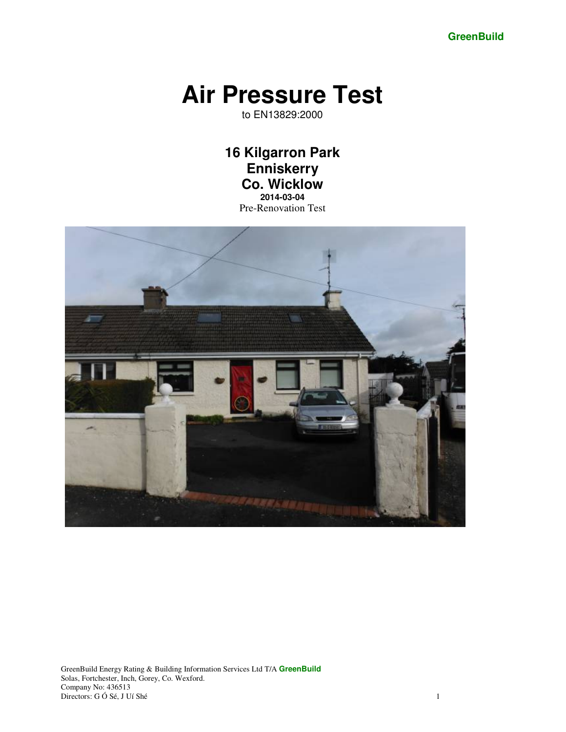**GreenBuild** 

# **Air Pressure Test**

to EN13829:2000

**16 Kilgarron Park Enniskerry Co. Wicklow 2014-03-04** 

Pre-Renovation Test

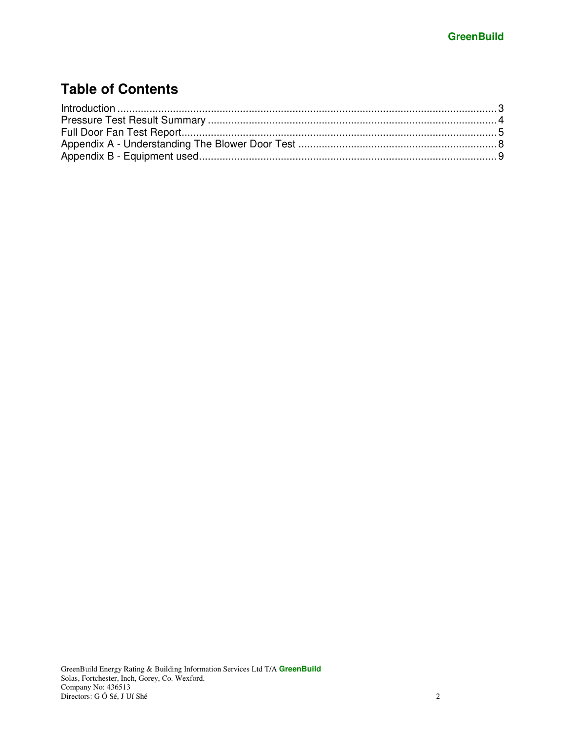# **Table of Contents**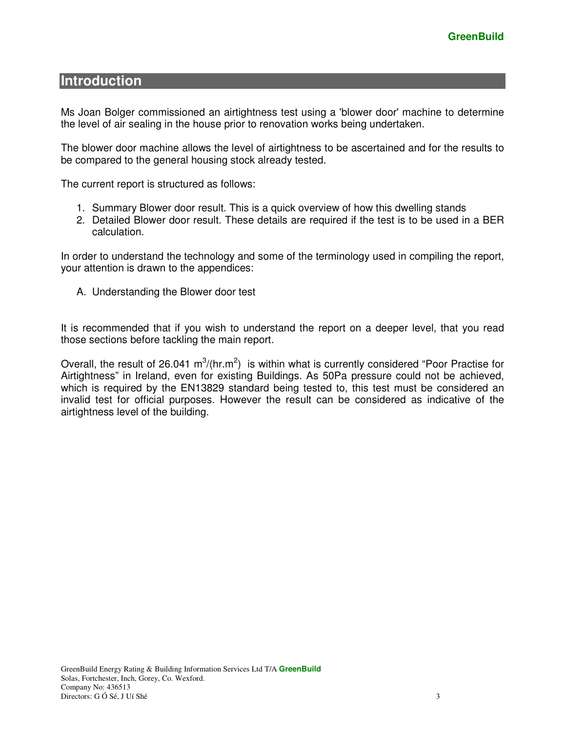### **Introduction**

Ms Joan Bolger commissioned an airtightness test using a 'blower door' machine to determine the level of air sealing in the house prior to renovation works being undertaken.

The blower door machine allows the level of airtightness to be ascertained and for the results to be compared to the general housing stock already tested.

The current report is structured as follows:

- 1. Summary Blower door result. This is a quick overview of how this dwelling stands
- 2. Detailed Blower door result. These details are required if the test is to be used in a BER calculation.

In order to understand the technology and some of the terminology used in compiling the report, your attention is drawn to the appendices:

A. Understanding the Blower door test

It is recommended that if you wish to understand the report on a deeper level, that you read those sections before tackling the main report.

Overall, the result of 26.041  $m^3/(hr.m^2)$  is within what is currently considered "Poor Practise for Airtightness" in Ireland, even for existing Buildings. As 50Pa pressure could not be achieved, which is required by the EN13829 standard being tested to, this test must be considered an invalid test for official purposes. However the result can be considered as indicative of the airtightness level of the building.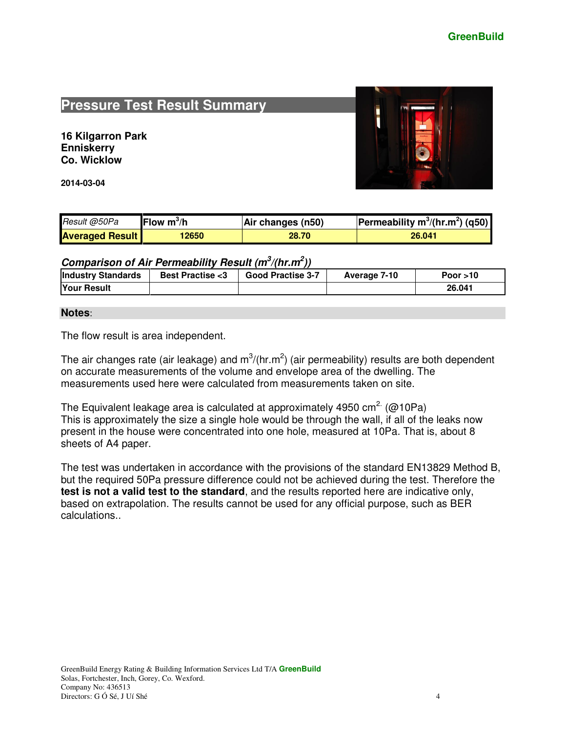# **Pressure Test Result Summary**

**16 Kilgarron Park Enniskerry Co. Wicklow** 

**2014-03-04** 



| Result @50Pa           | Flow $m^3/h$ | Air changes (n50) | <b>Permeability m<sup>3</sup>/(hr.m<sup>2</sup>) (q50)</b> |
|------------------------|--------------|-------------------|------------------------------------------------------------|
| <b>Averaged Result</b> | 12650        | 28.70             | 26.041                                                     |

#### **Comparison of Air Permeability Result (m<sup>3</sup> /(hr.m<sup>2</sup> ))**

| <b>Industry Standards</b> | <b>Best Practise &lt;3</b> | Good Practise 3-7 | Average 7-10 | Poor $>10$ |
|---------------------------|----------------------------|-------------------|--------------|------------|
| <b>Your Result</b>        |                            |                   |              | 26.041     |

#### **Notes**:

The flow result is area independent.

The air changes rate (air leakage) and  $m^3/(hr.m^2)$  (air permeability) results are both dependent on accurate measurements of the volume and envelope area of the dwelling. The measurements used here were calculated from measurements taken on site.

The Equivalent leakage area is calculated at approximately 4950 cm<sup>2.</sup> ( $\omega$ 10Pa) This is approximately the size a single hole would be through the wall, if all of the leaks now present in the house were concentrated into one hole, measured at 10Pa. That is, about 8 sheets of A4 paper.

The test was undertaken in accordance with the provisions of the standard EN13829 Method B, but the required 50Pa pressure difference could not be achieved during the test. Therefore the **test is not a valid test to the standard**, and the results reported here are indicative only, based on extrapolation. The results cannot be used for any official purpose, such as BER calculations..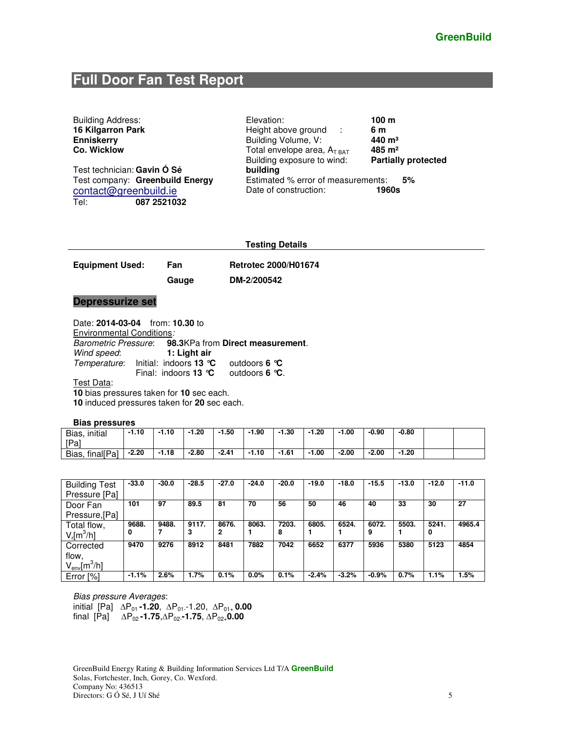# **Full Door Fan Test Report**

| <b>Building Address:</b>        | Elevation:                               | 100 <sub>m</sub>           |  |  |
|---------------------------------|------------------------------------------|----------------------------|--|--|
| 16 Kilgarron Park               | Height above ground :                    | 6 m                        |  |  |
| <b>Enniskerry</b>               | Building Volume, V:                      | $440 \; \mathrm{m}^3$      |  |  |
| Co. Wicklow                     | Total envelope area, $A_{T BAT}$         | $485 \; \mathrm{m}^2$      |  |  |
|                                 | Building exposure to wind:               | <b>Partially protected</b> |  |  |
| Test technician: Gavin Ó Sé     | building                                 |                            |  |  |
| Test company: Greenbuild Energy | Estimated % error of measurements:<br>5% |                            |  |  |
| contact@greenbuild.ie           | Date of construction:                    | 1960s                      |  |  |
| Tel:<br>087 2521032             |                                          |                            |  |  |

| <b>Testing Details</b> |  |
|------------------------|--|
|                        |  |

Equipment Used: Fan Retrotec 2000/H01674

 **Gauge DM-2/200542** 

#### **Depressurize set**

Date: **2014-03-04** from: **10.30** to

Environmental Conditions:<br>Barometric Pressure: 98 98.3KPa from Direct measurement.<br>1: Light air Wind speed: Temperature: Initial: indoors **13 °C** outdoors **6 °C** Final: indoors **13 °C** outdoors **6 °C**.

Test Data:

**10** bias pressures taken for **10** sec each.

**10** induced pressures taken for **20** sec each.

#### **Bias pressures**

| Bias,<br>initial   | 1.10    | $-1.10$ | $-1.20$ | $-1.50$ | $-1.90$ | 30. ا<br>- 1 | $-1.20$ | 1.00    | $-0.90$ | $-0.80$ |  |
|--------------------|---------|---------|---------|---------|---------|--------------|---------|---------|---------|---------|--|
| [Pa]               |         |         |         |         |         |              |         |         |         |         |  |
| final[Pa]<br>Bias, | $-2.20$ | $-1.18$ | $-2.80$ | $-2.41$ | $-1.10$ | $-1.61$      | $-1.00$ | $-2.00$ | $-2.00$ | 1.20    |  |

| <b>Building Test</b>             | $-33.0$ | $-30.0$ | $-28.5$ | $-27.0$ | $-24.0$ | $-20.0$ | $-19.0$ | $-18.0$ | $-15.5$ | $-13.0$ | $-12.0$ | $-11.0$ |
|----------------------------------|---------|---------|---------|---------|---------|---------|---------|---------|---------|---------|---------|---------|
| Pressure [Pa]                    |         |         |         |         |         |         |         |         |         |         |         |         |
| Door Fan                         | 101     | 97      | 89.5    | 81      | 70      | 56      | 50      | 46      | 40      | 33      | 30      | 27      |
| Pressure, [Pa]                   |         |         |         |         |         |         |         |         |         |         |         |         |
| Total flow,                      | 9688.   | 9488.   | 9117.   | 8676.   | 8063    | 7203.   | 6805.   | 6524    | 6072.   | 5503.   | 5241.   | 4965.4  |
| $V_{r}$ [m $^{3}/h$ ]            | 0       |         | з       |         |         | 8       |         |         | 9       |         |         |         |
| Corrected                        | 9470    | 9276    | 8912    | 8481    | 7882    | 7042    | 6652    | 6377    | 5936    | 5380    | 5123    | 4854    |
| flow,                            |         |         |         |         |         |         |         |         |         |         |         |         |
| $V_{\sf env}[{\sf m}^3/{\sf h}]$ |         |         |         |         |         |         |         |         |         |         |         |         |
| Error [%]                        | $-1.1%$ | 2.6%    | 1.7%    | 0.1%    | 0.0%    | 0.1%    | $-2.4%$ | $-3.2%$ | $-0.9%$ | 0.7%    | 1.1%    | 1.5%    |

Bias pressure Averages:

initial [Pa] ∆P01 **-1.20**, ∆P01--1.20, ∆P01+ **0.00**  final [Pa] ∆P02 **-1.75**,∆P02-**-1.75**, ∆P02+**0.00**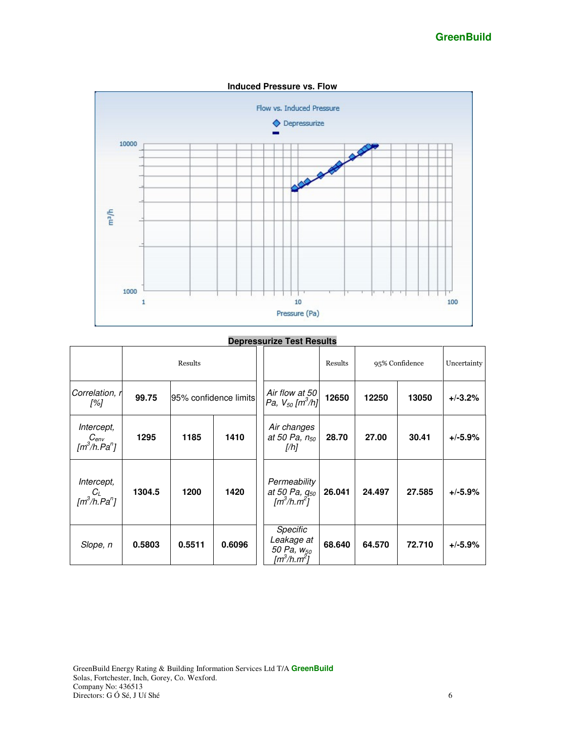

#### **Depressurize Test Results**

|                                                      |        | Results |        |                                                                           | Results | 95% Confidence                                     |        | Uncertainty |       |           |
|------------------------------------------------------|--------|---------|--------|---------------------------------------------------------------------------|---------|----------------------------------------------------|--------|-------------|-------|-----------|
| Correlation, r<br>[%]                                | 99.75  |         |        | 95% confidence limits                                                     |         | Air flow at 50<br>Pa, $V_{50}$ [m <sup>3</sup> /h] | 12650  | 12250       | 13050 | $+/-3.2%$ |
| Intercept,<br>$C_{\mathit{env}}$ [m ${}^{3}/h.Pa"$ ] | 1295   | 1185    | 1410   | Air changes<br>at 50 Pa, n <sub>50</sub><br>[/h]                          | 28.70   | 27.00                                              | 30.41  | $+/-5.9%$   |       |           |
| Intercept,<br>$C_L$<br>$[m^3/h.Pa^n]$                | 1304.5 | 1200    | 1420   | Permeability<br>at 50 Pa, $q_{50}$<br>$\left[\frac{m^3}{h}\right]\right]$ | 26.041  | 24.497                                             | 27.585 | $+/-5.9%$   |       |           |
| Slope, n                                             | 0.5803 | 0.5511  | 0.6096 | Specific<br>Leakage at<br>50 Pa, w <sub>50</sub><br>[m $^3$ /h.m $^2$ ]   | 68.640  | 64.570                                             | 72.710 | $+/-5.9%$   |       |           |

GreenBuild Energy Rating & Building Information Services Ltd T/A **GreenBuild**  Solas, Fortchester, Inch, Gorey, Co. Wexford. Company No: 436513 Directors: G Ó Sé, J Uí Shé 6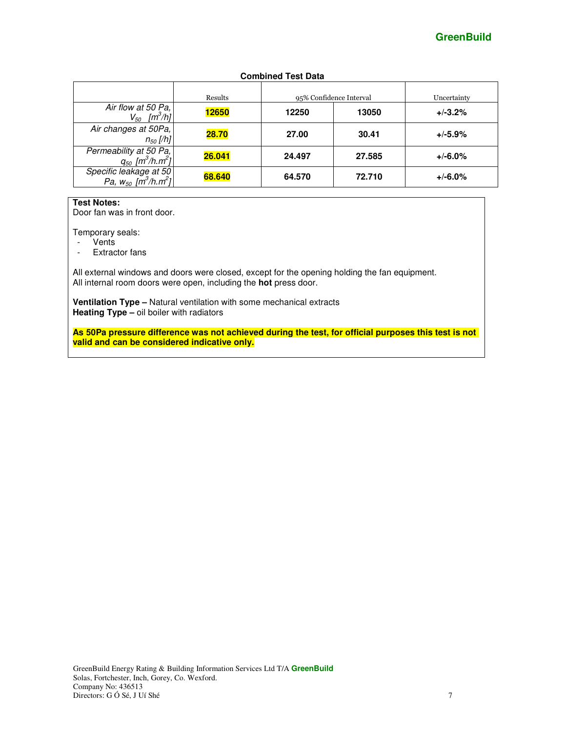| <b>UUIIIUIIIEU TESL DAIA</b>                          |         |                         |             |           |  |  |  |  |
|-------------------------------------------------------|---------|-------------------------|-------------|-----------|--|--|--|--|
|                                                       | Results | 95% Confidence Interval | Uncertainty |           |  |  |  |  |
| Air flow at 50 $Pa$ ,<br>$V_{50}$ [m <sup>3</sup> /h] | 12650   | 12250                   | 13050       | $+/-3.2%$ |  |  |  |  |
| Air changes at 50Pa,<br>$n_{50}$ [/h]                 | 28.70   | 27.00                   | 30.41       | $+/-5.9%$ |  |  |  |  |
| Permeability at 50 Pa,<br>$q_{50}$ $[m^3/h.m^2]$      | 26.041  | 24.497                  | 27.585      | $+/-6.0%$ |  |  |  |  |
| Specific leakage at 50<br>Pa, $w_{50}$ $[m^3/h.m^2]$  | 68.640  | 64.570                  | 72.710      | $+/-6.0%$ |  |  |  |  |

#### **Combined Test Data**

#### **Test Notes:**

Door fan was in front door.

Temporary seals:

- Vents<br>- Extrac
- Extractor fans

All external windows and doors were closed, except for the opening holding the fan equipment. All internal room doors were open, including the **hot** press door.

**Ventilation Type –** Natural ventilation with some mechanical extracts **Heating Type –** oil boiler with radiators

**As 50Pa pressure difference was not achieved during the test, for official purposes this test is not valid and can be considered indicative only.**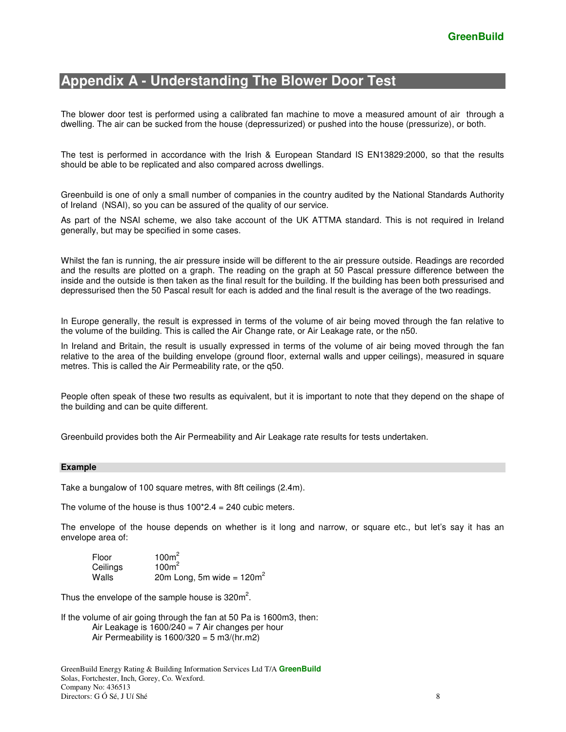### **Appendix A - Understanding The Blower Door Test**

The blower door test is performed using a calibrated fan machine to move a measured amount of air through a dwelling. The air can be sucked from the house (depressurized) or pushed into the house (pressurize), or both.

The test is performed in accordance with the Irish & European Standard IS EN13829:2000, so that the results should be able to be replicated and also compared across dwellings.

Greenbuild is one of only a small number of companies in the country audited by the National Standards Authority of Ireland (NSAI), so you can be assured of the quality of our service.

As part of the NSAI scheme, we also take account of the UK ATTMA standard. This is not required in Ireland generally, but may be specified in some cases.

Whilst the fan is running, the air pressure inside will be different to the air pressure outside. Readings are recorded and the results are plotted on a graph. The reading on the graph at 50 Pascal pressure difference between the inside and the outside is then taken as the final result for the building. If the building has been both pressurised and depressurised then the 50 Pascal result for each is added and the final result is the average of the two readings.

In Europe generally, the result is expressed in terms of the volume of air being moved through the fan relative to the volume of the building. This is called the Air Change rate, or Air Leakage rate, or the n50.

In Ireland and Britain, the result is usually expressed in terms of the volume of air being moved through the fan relative to the area of the building envelope (ground floor, external walls and upper ceilings), measured in square metres. This is called the Air Permeability rate, or the q50.

People often speak of these two results as equivalent, but it is important to note that they depend on the shape of the building and can be quite different.

Greenbuild provides both the Air Permeability and Air Leakage rate results for tests undertaken.

#### **Example**

Take a bungalow of 100 square metres, with 8ft ceilings (2.4m).

The volume of the house is thus  $100<sup>*</sup>2.4 = 240$  cubic meters.

The envelope of the house depends on whether is it long and narrow, or square etc., but let's say it has an envelope area of:

| Floor    | $100m^2$                     |
|----------|------------------------------|
| Ceilings | 100m <sup>2</sup>            |
| Walls    | 20m Long, 5m wide = $120m^2$ |

Thus the envelope of the sample house is  $320m^2$ .

If the volume of air going through the fan at 50 Pa is 1600m3, then: Air Leakage is  $1600/240 = 7$  Air changes per hour Air Permeability is  $1600/320 = 5$  m3/(hr.m2)